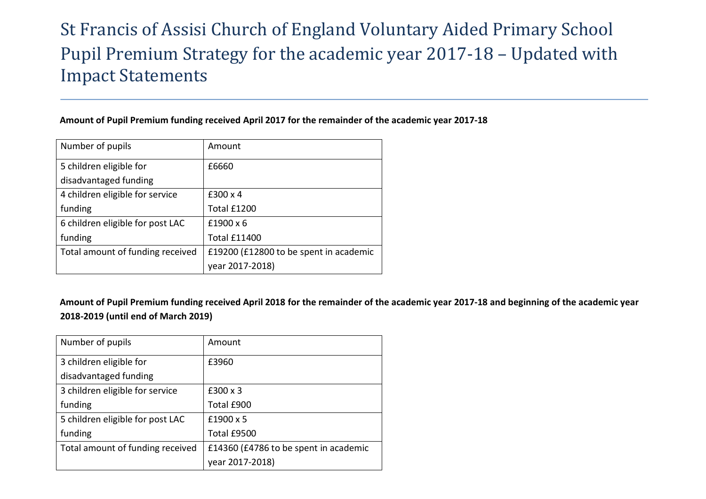## St Francis of Assisi Church of England Voluntary Aided Primary School Pupil Premium Strategy for the academic year 2017-18 – Updated with Impact Statements

## **Amount of Pupil Premium funding received April 2017 for the remainder of the academic year 2017-18**

| Number of pupils                 | Amount                                 |
|----------------------------------|----------------------------------------|
| 5 children eligible for          | £6660                                  |
| disadvantaged funding            |                                        |
| 4 children eligible for service  | £300 x 4                               |
| funding                          | Total £1200                            |
| 6 children eligible for post LAC | £1900 x 6                              |
| funding                          | <b>Total £11400</b>                    |
| Total amount of funding received | £19200 (£12800 to be spent in academic |
|                                  | year 2017-2018)                        |

**Amount of Pupil Premium funding received April 2018 for the remainder of the academic year 2017-18 and beginning of the academic year 2018-2019 (until end of March 2019)**

| Number of pupils                 | Amount                                |
|----------------------------------|---------------------------------------|
| 3 children eligible for          | £3960                                 |
| disadvantaged funding            |                                       |
| 3 children eligible for service  | £300 x 3                              |
| funding                          | Total £900                            |
| 5 children eligible for post LAC | £1900 x 5                             |
| funding                          | Total £9500                           |
| Total amount of funding received | £14360 (£4786 to be spent in academic |
|                                  | year 2017-2018)                       |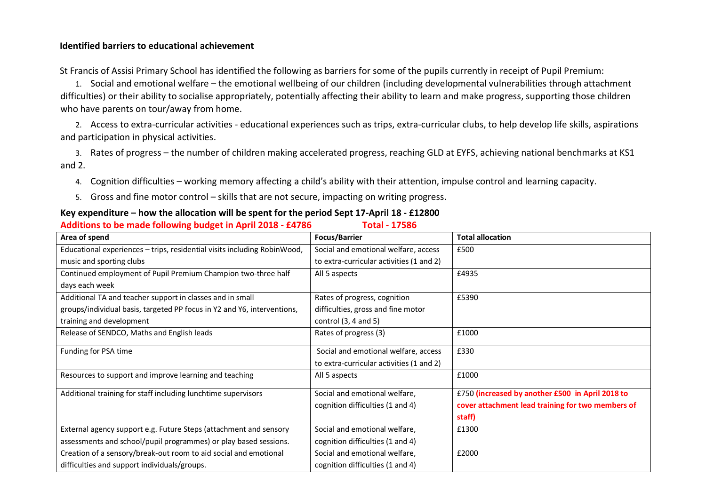## **Identified barriers to educational achievement**

St Francis of Assisi Primary School has identified the following as barriers for some of the pupils currently in receipt of Pupil Premium:

1. Social and emotional welfare – the emotional wellbeing of our children (including developmental vulnerabilities through attachment difficulties) or their ability to socialise appropriately, potentially affecting their ability to learn and make progress, supporting those children who have parents on tour/away from home.

2. Access to extra-curricular activities - educational experiences such as trips, extra-curricular clubs, to help develop life skills, aspirations and participation in physical activities.

3. Rates of progress – the number of children making accelerated progress, reaching GLD at EYFS, achieving national benchmarks at KS1 and 2.

- 4. Cognition difficulties working memory affecting a child's ability with their attention, impulse control and learning capacity.
- 5. Gross and fine motor control skills that are not secure, impacting on writing progress.

## **Key expenditure – how the allocation will be spent for the period Sept 17-April 18 - £12800**

**Additions to be made following budget in April 2018 - £4786 Total - 17586**

| Area of spend                                                            | <b>Focus/Barrier</b>                     | <b>Total allocation</b>                           |
|--------------------------------------------------------------------------|------------------------------------------|---------------------------------------------------|
| Educational experiences - trips, residential visits including RobinWood, | Social and emotional welfare, access     | £500                                              |
| music and sporting clubs                                                 | to extra-curricular activities (1 and 2) |                                                   |
| Continued employment of Pupil Premium Champion two-three half            | All 5 aspects                            | £4935                                             |
| days each week                                                           |                                          |                                                   |
| Additional TA and teacher support in classes and in small                | Rates of progress, cognition             | £5390                                             |
| groups/individual basis, targeted PP focus in Y2 and Y6, interventions,  | difficulties, gross and fine motor       |                                                   |
| training and development                                                 | control $(3, 4$ and $5)$                 |                                                   |
| Release of SENDCO, Maths and English leads                               | Rates of progress (3)                    | £1000                                             |
| Funding for PSA time                                                     | Social and emotional welfare, access     | £330                                              |
|                                                                          | to extra-curricular activities (1 and 2) |                                                   |
| Resources to support and improve learning and teaching                   | All 5 aspects                            | £1000                                             |
| Additional training for staff including lunchtime supervisors            | Social and emotional welfare,            | £750 (increased by another £500 in April 2018 to  |
|                                                                          | cognition difficulties (1 and 4)         | cover attachment lead training for two members of |
|                                                                          |                                          | staff)                                            |
| External agency support e.g. Future Steps (attachment and sensory        | Social and emotional welfare,            | £1300                                             |
| assessments and school/pupil programmes) or play based sessions.         | cognition difficulties (1 and 4)         |                                                   |
| Creation of a sensory/break-out room to aid social and emotional         | Social and emotional welfare,            | £2000                                             |
| difficulties and support individuals/groups.                             | cognition difficulties (1 and 4)         |                                                   |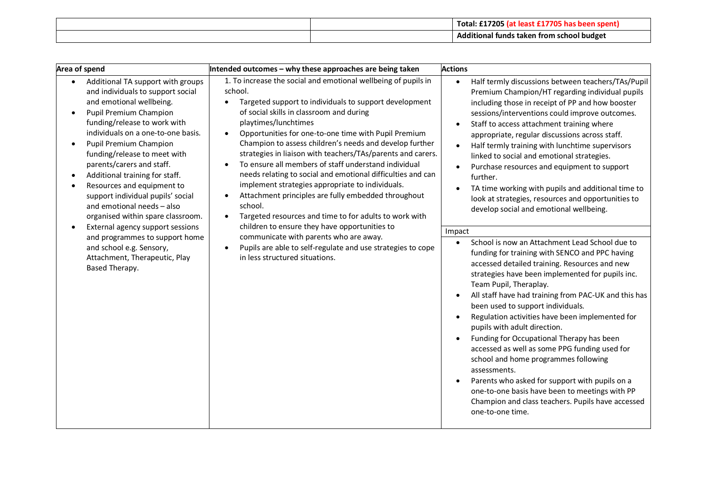|  | £17205<br>Total:<br>70<br>nek             |
|--|-------------------------------------------|
|  | Additional funds taken from school budget |

| Area of spend                                                                                                                                                                                                                                                                                                                                                                                                                                                                                                                                                                                                                       | Intended outcomes - why these approaches are being taken                                                                                                                                                                                                                                                                                                                                                                                                                                                                                                                                                                                                                                                                                                                                                                                                                                     | <b>Actions</b>                                                                                                                                                                                                                                                                                                                                                                                                                                                                                                                                                                                                                                                                                                                                                                                                                                                                                                                                                                                                                                                                                                                                                                                                                                                                                                                                                                                                                                                                                        |
|-------------------------------------------------------------------------------------------------------------------------------------------------------------------------------------------------------------------------------------------------------------------------------------------------------------------------------------------------------------------------------------------------------------------------------------------------------------------------------------------------------------------------------------------------------------------------------------------------------------------------------------|----------------------------------------------------------------------------------------------------------------------------------------------------------------------------------------------------------------------------------------------------------------------------------------------------------------------------------------------------------------------------------------------------------------------------------------------------------------------------------------------------------------------------------------------------------------------------------------------------------------------------------------------------------------------------------------------------------------------------------------------------------------------------------------------------------------------------------------------------------------------------------------------|-------------------------------------------------------------------------------------------------------------------------------------------------------------------------------------------------------------------------------------------------------------------------------------------------------------------------------------------------------------------------------------------------------------------------------------------------------------------------------------------------------------------------------------------------------------------------------------------------------------------------------------------------------------------------------------------------------------------------------------------------------------------------------------------------------------------------------------------------------------------------------------------------------------------------------------------------------------------------------------------------------------------------------------------------------------------------------------------------------------------------------------------------------------------------------------------------------------------------------------------------------------------------------------------------------------------------------------------------------------------------------------------------------------------------------------------------------------------------------------------------------|
| Additional TA support with groups<br>$\bullet$<br>and individuals to support social<br>and emotional wellbeing.<br>Pupil Premium Champion<br>funding/release to work with<br>individuals on a one-to-one basis.<br>Pupil Premium Champion<br>funding/release to meet with<br>parents/carers and staff.<br>Additional training for staff.<br>Resources and equipment to<br>support individual pupils' social<br>and emotional needs - also<br>organised within spare classroom.<br>External agency support sessions<br>and programmes to support home<br>and school e.g. Sensory,<br>Attachment, Therapeutic, Play<br>Based Therapy. | 1. To increase the social and emotional wellbeing of pupils in<br>school.<br>Targeted support to individuals to support development<br>of social skills in classroom and during<br>playtimes/lunchtimes<br>Opportunities for one-to-one time with Pupil Premium<br>Champion to assess children's needs and develop further<br>strategies in liaison with teachers/TAs/parents and carers.<br>To ensure all members of staff understand individual<br>needs relating to social and emotional difficulties and can<br>implement strategies appropriate to individuals.<br>Attachment principles are fully embedded throughout<br>school.<br>Targeted resources and time to for adults to work with<br>children to ensure they have opportunities to<br>communicate with parents who are away.<br>Pupils are able to self-regulate and use strategies to cope<br>in less structured situations. | Half termly discussions between teachers/TAs/Pupil<br>$\bullet$<br>Premium Champion/HT regarding individual pupils<br>including those in receipt of PP and how booster<br>sessions/interventions could improve outcomes.<br>Staff to access attachment training where<br>$\bullet$<br>appropriate, regular discussions across staff.<br>Half termly training with lunchtime supervisors<br>$\bullet$<br>linked to social and emotional strategies.<br>Purchase resources and equipment to support<br>$\bullet$<br>further.<br>TA time working with pupils and additional time to<br>look at strategies, resources and opportunities to<br>develop social and emotional wellbeing.<br>Impact<br>School is now an Attachment Lead School due to<br>$\bullet$<br>funding for training with SENCO and PPC having<br>accessed detailed training. Resources and new<br>strategies have been implemented for pupils inc.<br>Team Pupil, Theraplay.<br>All staff have had training from PAC-UK and this has<br>been used to support individuals.<br>Regulation activities have been implemented for<br>$\bullet$<br>pupils with adult direction.<br>Funding for Occupational Therapy has been<br>$\bullet$<br>accessed as well as some PPG funding used for<br>school and home programmes following<br>assessments.<br>Parents who asked for support with pupils on a<br>$\bullet$<br>one-to-one basis have been to meetings with PP<br>Champion and class teachers. Pupils have accessed<br>one-to-one time. |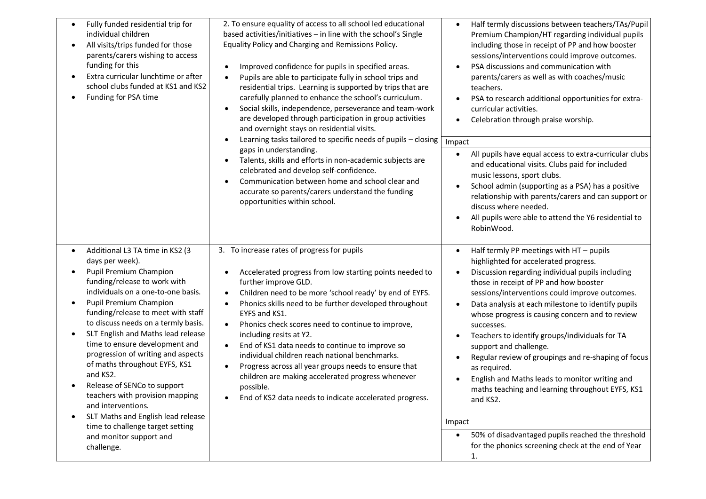| Fully funded residential trip for<br>$\bullet$<br>individual children<br>All visits/trips funded for those<br>$\bullet$<br>parents/carers wishing to access<br>funding for this<br>Extra curricular lunchtime or after<br>school clubs funded at KS1 and KS2<br>Funding for PSA time | 2. To ensure equality of access to all school led educational<br>based activities/initiatives - in line with the school's Single<br>Equality Policy and Charging and Remissions Policy.<br>Improved confidence for pupils in specified areas.<br>Pupils are able to participate fully in school trips and<br>$\bullet$<br>residential trips. Learning is supported by trips that are<br>carefully planned to enhance the school's curriculum.<br>Social skills, independence, perseverance and team-work<br>are developed through participation in group activities<br>and overnight stays on residential visits.<br>Learning tasks tailored to specific needs of pupils - closing<br>$\bullet$<br>gaps in understanding.<br>Talents, skills and efforts in non-academic subjects are<br>$\bullet$<br>celebrated and develop self-confidence.<br>Communication between home and school clear and<br>accurate so parents/carers understand the funding<br>opportunities within school. | Half termly discussions between teachers/TAs/Pupil<br>Premium Champion/HT regarding individual pupils<br>including those in receipt of PP and how booster<br>sessions/interventions could improve outcomes.<br>PSA discussions and communication with<br>$\bullet$<br>parents/carers as well as with coaches/music<br>teachers.<br>PSA to research additional opportunities for extra-<br>curricular activities.<br>Celebration through praise worship.<br>Impact<br>All pupils have equal access to extra-curricular clubs<br>and educational visits. Clubs paid for included<br>music lessons, sport clubs.<br>School admin (supporting as a PSA) has a positive<br>relationship with parents/carers and can support or<br>discuss where needed.<br>All pupils were able to attend the Y6 residential to<br>$\bullet$<br>RobinWood. |
|--------------------------------------------------------------------------------------------------------------------------------------------------------------------------------------------------------------------------------------------------------------------------------------|---------------------------------------------------------------------------------------------------------------------------------------------------------------------------------------------------------------------------------------------------------------------------------------------------------------------------------------------------------------------------------------------------------------------------------------------------------------------------------------------------------------------------------------------------------------------------------------------------------------------------------------------------------------------------------------------------------------------------------------------------------------------------------------------------------------------------------------------------------------------------------------------------------------------------------------------------------------------------------------|---------------------------------------------------------------------------------------------------------------------------------------------------------------------------------------------------------------------------------------------------------------------------------------------------------------------------------------------------------------------------------------------------------------------------------------------------------------------------------------------------------------------------------------------------------------------------------------------------------------------------------------------------------------------------------------------------------------------------------------------------------------------------------------------------------------------------------------|
| Additional L3 TA time in KS2 (3<br>$\bullet$                                                                                                                                                                                                                                         | 3. To increase rates of progress for pupils                                                                                                                                                                                                                                                                                                                                                                                                                                                                                                                                                                                                                                                                                                                                                                                                                                                                                                                                           | Half termly PP meetings with HT - pupils<br>$\bullet$                                                                                                                                                                                                                                                                                                                                                                                                                                                                                                                                                                                                                                                                                                                                                                                 |
| days per week).                                                                                                                                                                                                                                                                      |                                                                                                                                                                                                                                                                                                                                                                                                                                                                                                                                                                                                                                                                                                                                                                                                                                                                                                                                                                                       | highlighted for accelerated progress.                                                                                                                                                                                                                                                                                                                                                                                                                                                                                                                                                                                                                                                                                                                                                                                                 |
| Pupil Premium Champion<br>$\bullet$<br>funding/release to work with                                                                                                                                                                                                                  | Accelerated progress from low starting points needed to<br>further improve GLD.                                                                                                                                                                                                                                                                                                                                                                                                                                                                                                                                                                                                                                                                                                                                                                                                                                                                                                       | Discussion regarding individual pupils including<br>$\bullet$<br>those in receipt of PP and how booster                                                                                                                                                                                                                                                                                                                                                                                                                                                                                                                                                                                                                                                                                                                               |
| individuals on a one-to-one basis.<br>Pupil Premium Champion<br>$\bullet$                                                                                                                                                                                                            | Children need to be more 'school ready' by end of EYFS.<br>$\bullet$<br>Phonics skills need to be further developed throughout<br>$\bullet$                                                                                                                                                                                                                                                                                                                                                                                                                                                                                                                                                                                                                                                                                                                                                                                                                                           | sessions/interventions could improve outcomes.<br>Data analysis at each milestone to identify pupils<br>$\bullet$                                                                                                                                                                                                                                                                                                                                                                                                                                                                                                                                                                                                                                                                                                                     |
| funding/release to meet with staff<br>to discuss needs on a termly basis.                                                                                                                                                                                                            | EYFS and KS1.<br>Phonics check scores need to continue to improve,                                                                                                                                                                                                                                                                                                                                                                                                                                                                                                                                                                                                                                                                                                                                                                                                                                                                                                                    | whose progress is causing concern and to review<br>successes.                                                                                                                                                                                                                                                                                                                                                                                                                                                                                                                                                                                                                                                                                                                                                                         |
| SLT English and Maths lead release<br>$\bullet$<br>time to ensure development and                                                                                                                                                                                                    | including resits at Y2.                                                                                                                                                                                                                                                                                                                                                                                                                                                                                                                                                                                                                                                                                                                                                                                                                                                                                                                                                               | Teachers to identify groups/individuals for TA                                                                                                                                                                                                                                                                                                                                                                                                                                                                                                                                                                                                                                                                                                                                                                                        |
| progression of writing and aspects<br>of maths throughout EYFS, KS1<br>and KS2.                                                                                                                                                                                                      | End of KS1 data needs to continue to improve so<br>individual children reach national benchmarks.<br>Progress across all year groups needs to ensure that                                                                                                                                                                                                                                                                                                                                                                                                                                                                                                                                                                                                                                                                                                                                                                                                                             | support and challenge.<br>Regular review of groupings and re-shaping of focus<br>$\bullet$<br>as required.                                                                                                                                                                                                                                                                                                                                                                                                                                                                                                                                                                                                                                                                                                                            |
| Release of SENCo to support<br>teachers with provision mapping<br>and interventions.                                                                                                                                                                                                 | children are making accelerated progress whenever<br>possible.<br>End of KS2 data needs to indicate accelerated progress.                                                                                                                                                                                                                                                                                                                                                                                                                                                                                                                                                                                                                                                                                                                                                                                                                                                             | English and Maths leads to monitor writing and<br>maths teaching and learning throughout EYFS, KS1<br>and KS2.                                                                                                                                                                                                                                                                                                                                                                                                                                                                                                                                                                                                                                                                                                                        |
| SLT Maths and English lead release<br>$\bullet$                                                                                                                                                                                                                                      |                                                                                                                                                                                                                                                                                                                                                                                                                                                                                                                                                                                                                                                                                                                                                                                                                                                                                                                                                                                       | Impact                                                                                                                                                                                                                                                                                                                                                                                                                                                                                                                                                                                                                                                                                                                                                                                                                                |
| time to challenge target setting<br>and monitor support and                                                                                                                                                                                                                          |                                                                                                                                                                                                                                                                                                                                                                                                                                                                                                                                                                                                                                                                                                                                                                                                                                                                                                                                                                                       | 50% of disadvantaged pupils reached the threshold<br>$\bullet$                                                                                                                                                                                                                                                                                                                                                                                                                                                                                                                                                                                                                                                                                                                                                                        |
| challenge.                                                                                                                                                                                                                                                                           |                                                                                                                                                                                                                                                                                                                                                                                                                                                                                                                                                                                                                                                                                                                                                                                                                                                                                                                                                                                       | for the phonics screening check at the end of Year<br>1.                                                                                                                                                                                                                                                                                                                                                                                                                                                                                                                                                                                                                                                                                                                                                                              |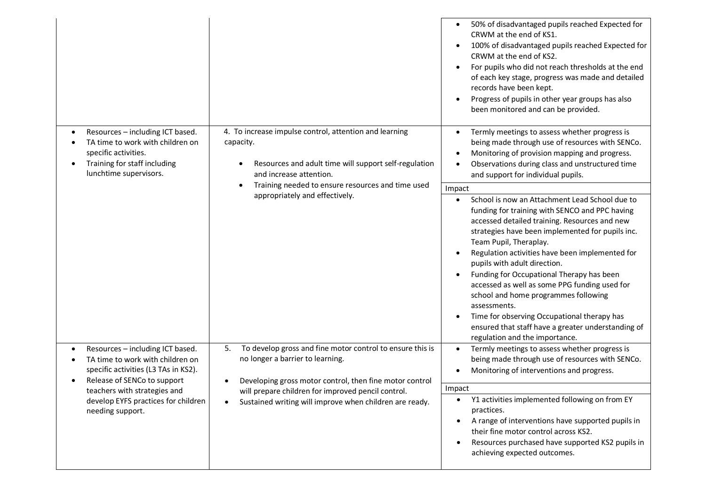|                                                                                                                                                                                                                                                                                                                   |                                                                                                                                                                                                                                                                                   | 50% of disadvantaged pupils reached Expected for<br>$\bullet$<br>CRWM at the end of KS1.<br>100% of disadvantaged pupils reached Expected for<br>$\bullet$<br>CRWM at the end of KS2.<br>For pupils who did not reach thresholds at the end<br>$\bullet$<br>of each key stage, progress was made and detailed<br>records have been kept.<br>Progress of pupils in other year groups has also<br>$\bullet$<br>been monitored and can be provided.                                                                                                                                                                                                       |
|-------------------------------------------------------------------------------------------------------------------------------------------------------------------------------------------------------------------------------------------------------------------------------------------------------------------|-----------------------------------------------------------------------------------------------------------------------------------------------------------------------------------------------------------------------------------------------------------------------------------|--------------------------------------------------------------------------------------------------------------------------------------------------------------------------------------------------------------------------------------------------------------------------------------------------------------------------------------------------------------------------------------------------------------------------------------------------------------------------------------------------------------------------------------------------------------------------------------------------------------------------------------------------------|
| 4. To increase impulse control, attention and learning<br>Resources - including ICT based.<br>TA time to work with children on<br>capacity.<br>specific activities.<br>Training for staff including<br>Resources and adult time will support self-regulation<br>lunchtime supervisors.<br>and increase attention. | Termly meetings to assess whether progress is<br>$\bullet$<br>being made through use of resources with SENCo.<br>Monitoring of provision mapping and progress.<br>$\bullet$<br>Observations during class and unstructured time<br>$\bullet$<br>and support for individual pupils. |                                                                                                                                                                                                                                                                                                                                                                                                                                                                                                                                                                                                                                                        |
|                                                                                                                                                                                                                                                                                                                   | Training needed to ensure resources and time used                                                                                                                                                                                                                                 | Impact                                                                                                                                                                                                                                                                                                                                                                                                                                                                                                                                                                                                                                                 |
|                                                                                                                                                                                                                                                                                                                   | appropriately and effectively.                                                                                                                                                                                                                                                    | School is now an Attachment Lead School due to<br>$\bullet$<br>funding for training with SENCO and PPC having<br>accessed detailed training. Resources and new<br>strategies have been implemented for pupils inc.<br>Team Pupil, Theraplay.<br>Regulation activities have been implemented for<br>pupils with adult direction.<br>Funding for Occupational Therapy has been<br>$\bullet$<br>accessed as well as some PPG funding used for<br>school and home programmes following<br>assessments.<br>Time for observing Occupational therapy has<br>$\bullet$<br>ensured that staff have a greater understanding of<br>regulation and the importance. |
| Resources - including ICT based.<br>TA time to work with children on<br>specific activities (L3 TAs in KS2).<br>Release of SENCo to support                                                                                                                                                                       | To develop gross and fine motor control to ensure this is<br>5.<br>no longer a barrier to learning.                                                                                                                                                                               | Termly meetings to assess whether progress is<br>being made through use of resources with SENCo.<br>Monitoring of interventions and progress.<br>$\bullet$                                                                                                                                                                                                                                                                                                                                                                                                                                                                                             |
| teachers with strategies and                                                                                                                                                                                                                                                                                      | Developing gross motor control, then fine motor control                                                                                                                                                                                                                           | Impact                                                                                                                                                                                                                                                                                                                                                                                                                                                                                                                                                                                                                                                 |
| develop EYFS practices for children<br>needing support.                                                                                                                                                                                                                                                           | will prepare children for improved pencil control.<br>Sustained writing will improve when children are ready.<br>$\bullet$                                                                                                                                                        | Y1 activities implemented following on from EY<br>practices.<br>A range of interventions have supported pupils in<br>$\bullet$<br>their fine motor control across KS2.<br>Resources purchased have supported KS2 pupils in<br>achieving expected outcomes.                                                                                                                                                                                                                                                                                                                                                                                             |